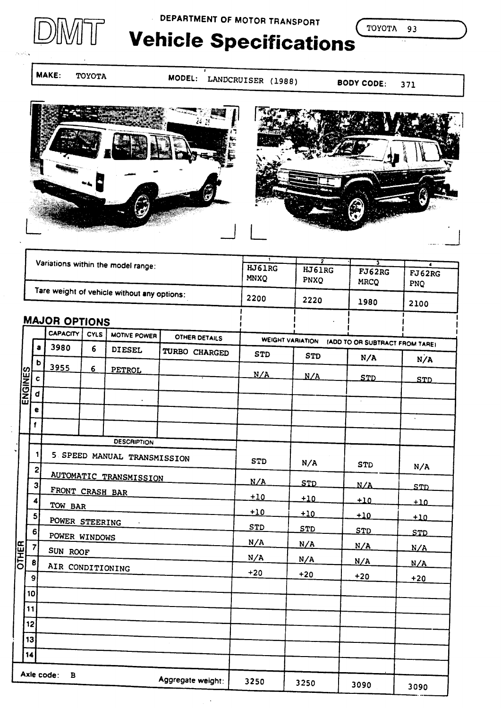

DEPARTMENT OF MOTOR TRANSPORT

TOYOTA 93

# **Vehicle Specifications**

**MAKE:** TOYOTA

MODEL: LANDCRUISER (1988)

**BODY CODE:** 371





|                |                                             |                      |   |                               | $\overline{\mathbf{z}}$                         | ᠊ᡪ                             |                |                       |                    |
|----------------|---------------------------------------------|----------------------|---|-------------------------------|-------------------------------------------------|--------------------------------|----------------|-----------------------|--------------------|
|                | Variations within the model range:          |                      |   |                               |                                                 | HJ61RG<br><b>MNXO</b>          | HJ61RG<br>PNXQ | FJ62RG<br><b>MRCQ</b> | ᠼ<br>FJ62RG<br>PNQ |
|                | Tare weight of vehicle without any options: |                      |   |                               |                                                 | 2200                           | 2220           | 1980                  | 2100               |
|                |                                             | <b>MAJOR OPTIONS</b> |   |                               |                                                 |                                |                |                       |                    |
| <b>ENGINES</b> |                                             | CAPACITY<br>CYLS     |   | MOTIVE POWER                  | <b>OTHER DETAILS</b><br><b>WEIGHT VARIATION</b> | (ADD TO OR SUBTRACT FROM TARE) |                |                       |                    |
|                | a                                           | 3980                 | 6 | <b>DIESEL</b>                 | TURBO CHARGED                                   | <b>STD</b>                     | <b>STD</b>     | N/A                   | N/A                |
|                | $\mathbf b$                                 | 3955                 | 6 | PETROL                        |                                                 | N/A                            | N/A            | <b>STD</b>            |                    |
|                | $\mathbf c$                                 |                      |   |                               |                                                 |                                |                |                       | <b>STD</b>         |
|                | d                                           |                      |   | $\ddot{\phantom{a}}$          |                                                 |                                |                | $\mathcal{L}$         |                    |
|                | e<br>$\mathbf{f}$                           |                      |   |                               |                                                 |                                |                |                       | $\mathbf{v}$       |
|                |                                             |                      |   |                               |                                                 |                                |                |                       |                    |
|                |                                             |                      |   | <b>DESCRIPTION</b>            |                                                 |                                |                |                       |                    |
|                | 1<br>$\mathbf{z}$                           |                      |   | 5 SPEED MANUAL TRANSMISSION   |                                                 | <b>STD</b>                     | N/A            | <b>STD</b>            | N/A                |
|                | $\overline{\mathbf{3}}$                     |                      |   | <b>AUTOMATIC TRANSMISSION</b> |                                                 | N/A                            | STD            | N/A                   | <u>STD</u>         |
|                | 4                                           | FRONT CRASH BAR      |   |                               |                                                 | $+10$                          | $+10$          | $+10$                 | $+10$              |
|                | 5                                           | TOW BAR              |   |                               |                                                 | $+10$                          | $+10$          | $+10$                 | $+10$              |
|                | 6.                                          | POWER STEERING       |   | $\sim 10$                     |                                                 | <b>STD</b>                     | STD            | STD                   |                    |
|                | $\overline{7}$                              | POWER WINDOWS        |   |                               |                                                 | N/A                            | N/A            | N/A                   | <u>STD</u><br>N/A  |
| <b>DTHER</b>   | 8                                           | SUN ROOF             |   |                               |                                                 | N/A                            | N/A            | N/A                   | N/A                |
|                | 9                                           | AIR CONDITIONING     |   |                               |                                                 | $+20$                          | $+20$          | $+20$                 | $+20$              |
|                | 10                                          |                      |   |                               |                                                 |                                |                |                       |                    |
|                | 11                                          |                      |   |                               |                                                 |                                |                |                       |                    |
|                | 12                                          |                      |   |                               |                                                 |                                |                |                       |                    |
|                | 13                                          |                      |   |                               |                                                 |                                |                |                       |                    |
|                | 14                                          |                      |   |                               |                                                 |                                |                |                       |                    |
|                |                                             | Axle code:<br>в      |   |                               |                                                 |                                |                |                       |                    |
|                |                                             |                      |   |                               | Aggregate weight:                               | 3250                           | 3250           | 3090                  | 3090               |